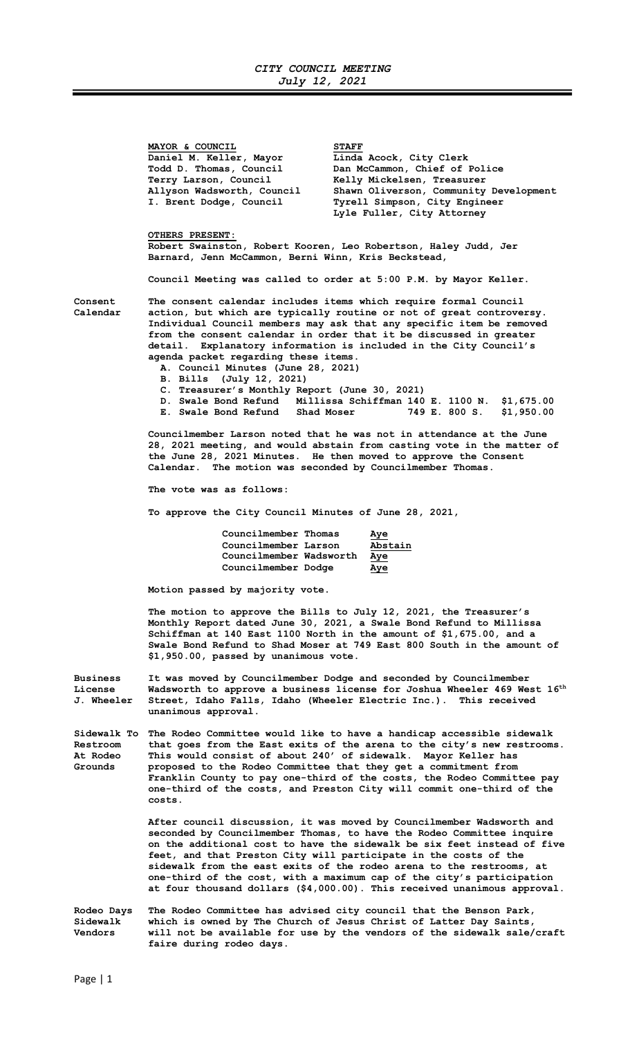MAYOR & COUNCIL<br>Daniel M. Keller, Mayor Linda Daniel M. Keller, Mayor Linda Acock, City Clerk<br>Todd D. Thomas, Council Dan McCammon, Chief of Todd D. Thomas, Council Dan McCammon, Chief of Police<br>Terry Larson, Council Kelly Mickelsen, Treasurer Terry Larson, Council Melly Mickelsen, Treasurer<br>Allyson Wadsworth, Council Shawn Oliverson, Community Shawn Oliverson, Community Development I. Brent Dodge, Council Tyrell Simpson, City Engineer Lyle Fuller, City Attorney OTHERS PRESENT: Robert Swainston, Robert Kooren, Leo Robertson, Haley Judd, Jer Barnard, Jenn McCammon, Berni Winn, Kris Beckstead, Council Meeting was called to order at 5:00 P.M. by Mayor Keller. Consent The consent calendar includes items which require formal Council Calendar action, but which are typically routine or not of great controversy. Individual Council members may ask that any specific item be removed from the consent calendar in order that it be discussed in greater detail. Explanatory information is included in the City Council's agenda packet regarding these items. A. Council Minutes (June 28, 2021) B. Bills (July 12, 2021) C. Treasurer's Monthly Report (June 30, 2021) D. Swale Bond Refund Millissa Schiffman 140 E. 1100 N. \$1,675.00 E. Swale Bond Refund Shad Moser 749 E. 800 S. \$1,950.00 Councilmember Larson noted that he was not in attendance at the June 28, 2021 meeting, and would abstain from casting vote in the matter of the June 28, 2021 Minutes. He then moved to approve the Consent Calendar. The motion was seconded by Councilmember Thomas. The vote was as follows: To approve the City Council Minutes of June 28, 2021, Councilmember Thomas Aye Councilmember Larson Abstain Councilmember Wadsworth Aye Councilmember Dodge Aye Motion passed by majority vote. The motion to approve the Bills to July 12, 2021, the Treasurer's Monthly Report dated June 30, 2021, a Swale Bond Refund to Millissa Schiffman at 140 East 1100 North in the amount of \$1,675.00, and a Swale Bond Refund to Shad Moser at 749 East 800 South in the amount of \$1,950.00, passed by unanimous vote. Business It was moved by Councilmember Dodge and seconded by Councilmember License Wadsworth to approve a business license for Joshua Wheeler 469 West  $16<sup>th</sup>$ J. Wheeler Street, Idaho Falls, Idaho (Wheeler Electric Inc.). This received unanimous approval. Sidewalk To The Rodeo Committee would like to have a handicap accessible sidewalk Restroom that goes from the East exits of the arena to the city's new restrooms. At Rodeo This would consist of about 240' of sidewalk. Mayor Keller has<br>Grounds sureposed to the Rodeo Committee that they get a commitment from proposed to the Rodeo Committee that they get a commitment from Franklin County to pay one-third of the costs, the Rodeo Committee pay one-third of the costs, and Preston City will commit one-third of the costs. After council discussion, it was moved by Councilmember Wadsworth and seconded by Councilmember Thomas, to have the Rodeo Committee inquire on the additional cost to have the sidewalk be six feet instead of five feet, and that Preston City will participate in the costs of the sidewalk from the east exits of the rodeo arena to the restrooms, at one-third of the cost, with a maximum cap of the city's participation at four thousand dollars (\$4,000.00). This received unanimous approval. Rodeo Days The Rodeo Committee has advised city council that the Benson Park, Sidewalk which is owned by The Church of Jesus Christ of Latter Day Saints,<br>Vendors will not be available for use by the vendors of the sidewalk sale will not be available for use by the vendors of the sidewalk sale/craft

faire during rodeo days.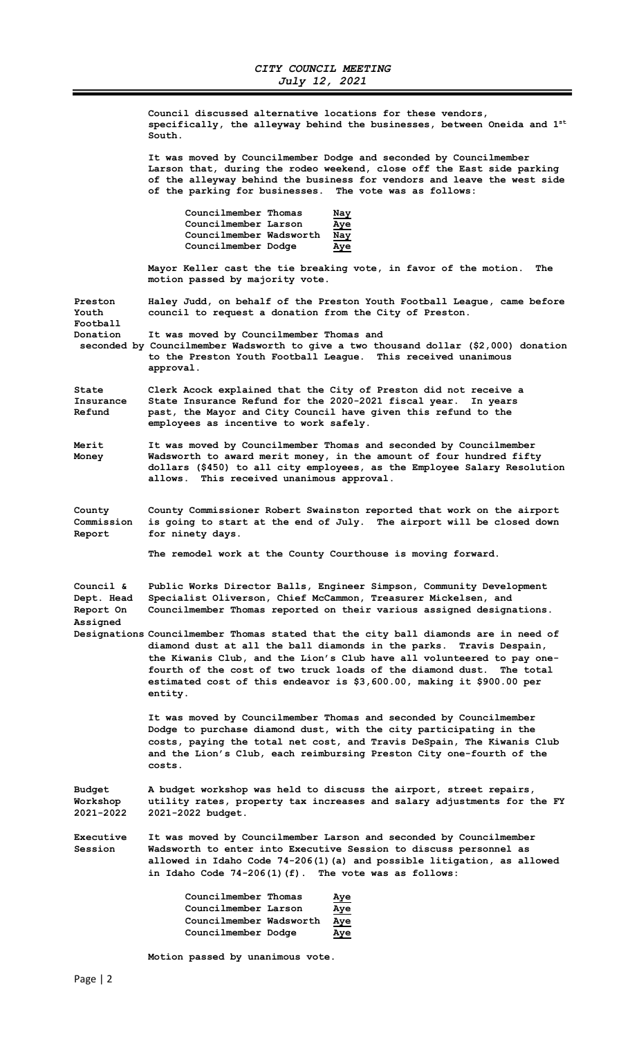Council discussed alternative locations for these vendors, specifically, the alleyway behind the businesses, between Oneida and  $1^{st}$ South.

 It was moved by Councilmember Dodge and seconded by Councilmember Larson that, during the rodeo weekend, close off the East side parking of the alleyway behind the business for vendors and leave the west side of the parking for businesses. The vote was as follows:

| Councilmember Thomas    | <u>Nay</u> |
|-------------------------|------------|
| Councilmember Larson    | <u>Aye</u> |
| Councilmember Wadsworth | Nav        |
| Councilmember Dodge     | Aye        |

 Mayor Keller cast the tie breaking vote, in favor of the motion. The motion passed by majority vote.

Preston Haley Judd, on behalf of the Preston Youth Football League, came before Youth council to request a donation from the City of Preston. Football

Donation It was moved by Councilmember Thomas and

 seconded by Councilmember Wadsworth to give a two thousand dollar (\$2,000) donation to the Preston Youth Football League. This received unanimous approval.

State Clerk Acock explained that the City of Preston did not receive a Insurance State Insurance Refund for the 2020-2021 fiscal year. In years past, the Mayor and City Council have given this refund to the employees as incentive to work safely.

Merit It was moved by Councilmember Thomas and seconded by Councilmember Money Wadsworth to award merit money, in the amount of four hundred fifty dollars (\$450) to all city employees, as the Employee Salary Resolution allows. This received unanimous approval.

County County Commissioner Robert Swainston reported that work on the airport Commission is going to start at the end of July. The airport will be closed down Report for ninety days.

The remodel work at the County Courthouse is moving forward.

| Council &  | Public Works Director Balls, Engineer Simpson, Community Development  |
|------------|-----------------------------------------------------------------------|
| Dept. Head | Specialist Oliverson, Chief McCammon, Treasurer Mickelsen, and        |
| Report On  | Councilmember Thomas reported on their various assigned designations. |
| Assigned   |                                                                       |

Designations Councilmember Thomas stated that the city ball diamonds are in need of diamond dust at all the ball diamonds in the parks. Travis Despain, the Kiwanis Club, and the Lion's Club have all volunteered to pay one fourth of the cost of two truck loads of the diamond dust. The total estimated cost of this endeavor is \$3,600.00, making it \$900.00 per entity.

> It was moved by Councilmember Thomas and seconded by Councilmember Dodge to purchase diamond dust, with the city participating in the costs, paying the total net cost, and Travis DeSpain, The Kiwanis Club and the Lion's Club, each reimbursing Preston City one-fourth of the costs.

Budget A budget workshop was held to discuss the airport, street repairs, Workshop utility rates, property tax increases and salary adjustments for the FY 2021-2022 2021-2022 budget.

Executive It was moved by Councilmember Larson and seconded by Councilmember Session Wadsworth to enter into Executive Session to discuss personnel as allowed in Idaho Code 74-206(1)(a) and possible litigation, as allowed in Idaho Code 74-206(1)(f). The vote was as follows:

| Councilmember Thomas    | Aye |
|-------------------------|-----|
| Councilmember Larson    | Aye |
| Councilmember Wadsworth | Aye |
| Councilmember Dodge     | Aye |

Motion passed by unanimous vote.